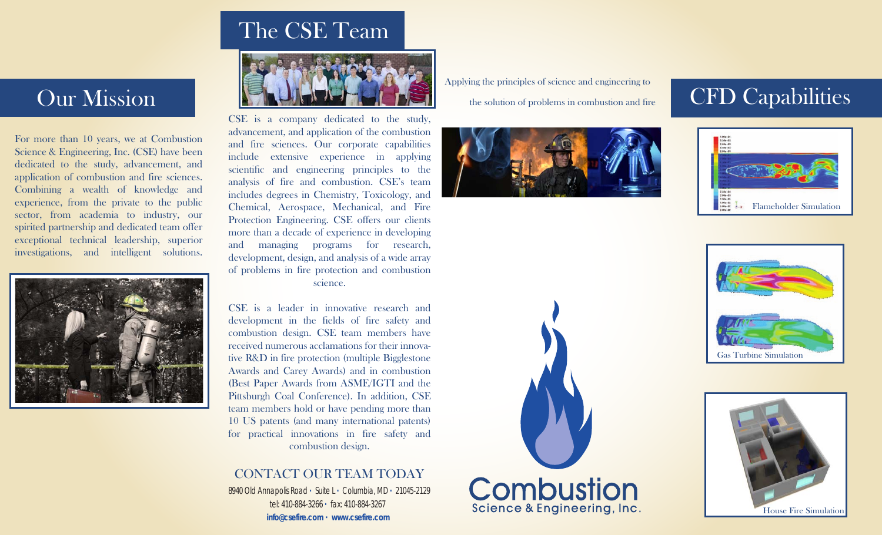# The CSE Team



CSE is a company dedicated to the study, advancement, and application of the combustion and fire sciences. Our corporate capabilities include extensive experience in applying scientific and engineering principles to the analysis of fire and combustion. CSE's team includes degrees in Chemistry, Toxicology, and Chemical, Aerospace, Mechanical, and Fire Protection Engineering. CSE offers our clients more than a decade of experience in developing and managing programs for research, development, design, and analysis of a wide array of problems in fire protection and combustion science.

CSE is a leader in innovative research and development in the fields of fire safety and combustion design. CSE team members have received numerous acclamations for their innovative R&D in fire protection (multiple Bigglestone Awards and Carey Awards) and in combustion (Best Paper Awards from ASME/IGTI and the Pittsburgh Coal Conference). In addition, CSE team members hold or have pending more than 10 US patents (and many international patents) for practical innovations in fire safety and combustion design.

#### CONTACT OUR TEAM TODAY

8940 Old Annapolis Road **·** Suite L **·** Columbia, MD **·** 21045-2129 tel: 410-884-3266 **·** fax: 410-884-3267 **info@csefire.com · www.csefire.com**

Applying the principles of science and engineering to

the solution of problems in combustion and fire



**Combustion** 

Science & Engineering, Inc.









## Our Mission

For more than 10 years, we at Combustion Science & Engineering, Inc. (CSE) have been dedicated to the study, advancement, and application of combustion and fire sciences. Combining a wealth of knowledge and experience, from the private to the public sector, from academia to industry, our spirited partnership and dedicated team offer exceptional technical leadership, superior investigations, and intelligent solutions.